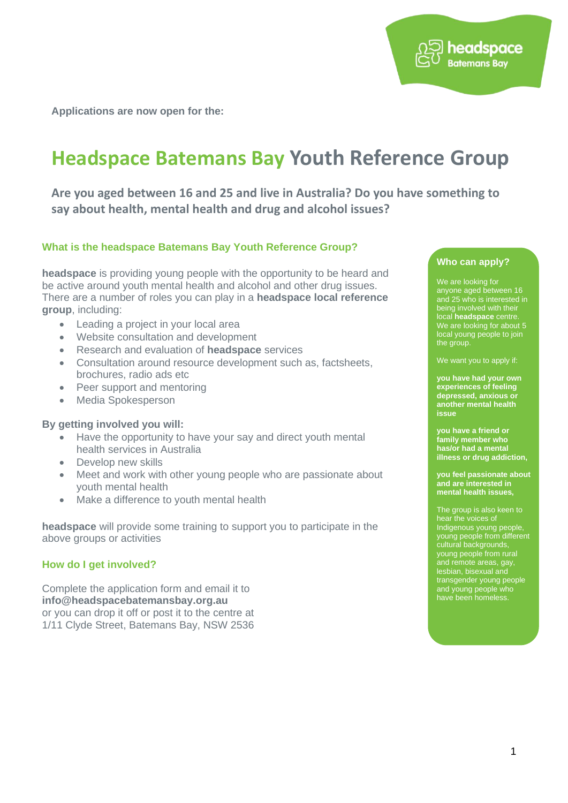**Applications are now open for the:** 

## **Headspace Batemans Bay Youth Reference Group**

**Are you aged between 16 and 25 and live in Australia? Do you have something to say about health, mental health and drug and alcohol issues?**

#### **What is the headspace Batemans Bay Youth Reference Group?**

**headspace** is providing young people with the opportunity to be heard and be active around youth mental health and alcohol and other drug issues. There are a number of roles you can play in a **headspace local reference group**, including:

- Leading a project in your local area
- Website consultation and development
- Research and evaluation of **headspace** services
- Consultation around resource development such as, factsheets, brochures, radio ads etc
- Peer support and mentoring
- Media Spokesperson

#### **By getting involved you will:**

- Have the opportunity to have your say and direct youth mental health services in Australia
- Develop new skills
- Meet and work with other young people who are passionate about youth mental health
- Make a difference to youth mental health

**headspace** will provide some training to support you to participate in the above groups or activities

#### **How do I get involved?**

Complete the application form and email it to **info@headspacebatemansbay.org.au**  or you can drop it off or post it to the centre at 1/11 Clyde Street, Batemans Bay, NSW 2536

#### **Who can apply?**

headspace **Batemans Bav** 

We are looking for anyone aged between 16 and 25 who is interested in being involved with their local **headspace** centre. We are looking for about 5 local young people to join the group.

We want you to apply if:

**you have had your own experiences of feeling depressed, anxious or another mental health issue**

**you have a friend or family member who has/or had a mental illness or drug addiction,**

**you feel passionate about and are interested in mental health issues,**

The group is also keen to hear the voices of Indigenous young people, young people from different cultural backgrounds, young people from rural and remote areas, gay, lesbian, bisexual and transgender young people and young people who have been homeless.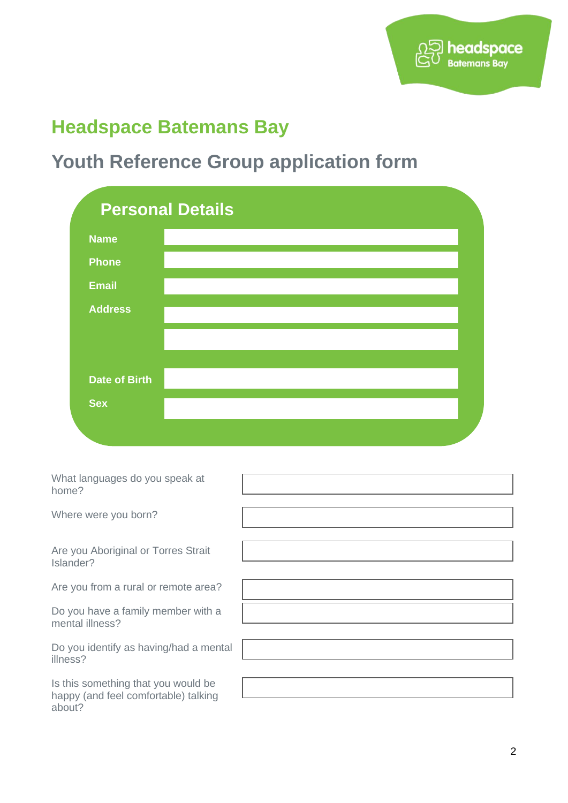

### **Headspace Batemans Bay**

# **Youth Reference Group application form**

|                      | <b>Personal Details</b> |  |
|----------------------|-------------------------|--|
| <b>Name</b>          |                         |  |
| <b>Phone</b>         |                         |  |
| <b>Email</b>         |                         |  |
| <b>Address</b>       |                         |  |
|                      |                         |  |
|                      |                         |  |
| <b>Date of Birth</b> |                         |  |
| <b>Sex</b>           |                         |  |
|                      |                         |  |

| What languages do you speak at<br>home?                                               |  |
|---------------------------------------------------------------------------------------|--|
| Where were you born?                                                                  |  |
| Are you Aboriginal or Torres Strait<br>Islander?                                      |  |
| Are you from a rural or remote area?                                                  |  |
| Do you have a family member with a<br>mental illness?                                 |  |
| Do you identify as having/had a mental<br>illness?                                    |  |
| Is this something that you would be<br>happy (and feel comfortable) talking<br>about? |  |